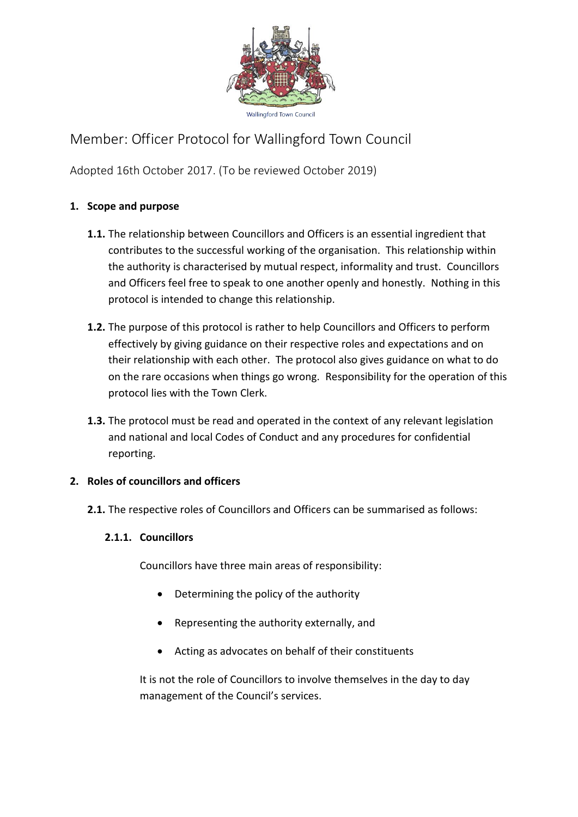

# Member: Officer Protocol for Wallingford Town Council

Adopted 16th October 2017. (To be reviewed October 2019)

## **1. Scope and purpose**

- **1.1.** The relationship between Councillors and Officers is an essential ingredient that contributes to the successful working of the organisation. This relationship within the authority is characterised by mutual respect, informality and trust. Councillors and Officers feel free to speak to one another openly and honestly. Nothing in this protocol is intended to change this relationship.
- **1.2.** The purpose of this protocol is rather to help Councillors and Officers to perform effectively by giving guidance on their respective roles and expectations and on their relationship with each other. The protocol also gives guidance on what to do on the rare occasions when things go wrong. Responsibility for the operation of this protocol lies with the Town Clerk.
- **1.3.** The protocol must be read and operated in the context of any relevant legislation and national and local Codes of Conduct and any procedures for confidential reporting.

## **2. Roles of councillors and officers**

**2.1.** The respective roles of Councillors and Officers can be summarised as follows:

## **2.1.1. Councillors**

Councillors have three main areas of responsibility:

- Determining the policy of the authority
- Representing the authority externally, and
- Acting as advocates on behalf of their constituents

It is not the role of Councillors to involve themselves in the day to day management of the Council's services.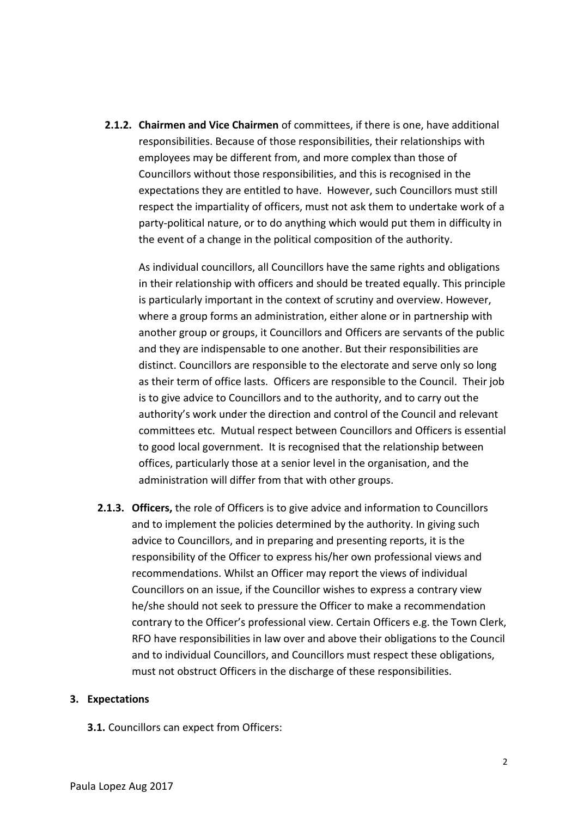**2.1.2. Chairmen and Vice Chairmen** of committees, if there is one, have additional responsibilities. Because of those responsibilities, their relationships with employees may be different from, and more complex than those of Councillors without those responsibilities, and this is recognised in the expectations they are entitled to have. However, such Councillors must still respect the impartiality of officers, must not ask them to undertake work of a party-political nature, or to do anything which would put them in difficulty in the event of a change in the political composition of the authority.

As individual councillors, all Councillors have the same rights and obligations in their relationship with officers and should be treated equally. This principle is particularly important in the context of scrutiny and overview. However, where a group forms an administration, either alone or in partnership with another group or groups, it Councillors and Officers are servants of the public and they are indispensable to one another. But their responsibilities are distinct. Councillors are responsible to the electorate and serve only so long as their term of office lasts. Officers are responsible to the Council. Their job is to give advice to Councillors and to the authority, and to carry out the authority's work under the direction and control of the Council and relevant committees etc. Mutual respect between Councillors and Officers is essential to good local government. It is recognised that the relationship between offices, particularly those at a senior level in the organisation, and the administration will differ from that with other groups.

**2.1.3. Officers,** the role of Officers is to give advice and information to Councillors and to implement the policies determined by the authority. In giving such advice to Councillors, and in preparing and presenting reports, it is the responsibility of the Officer to express his/her own professional views and recommendations. Whilst an Officer may report the views of individual Councillors on an issue, if the Councillor wishes to express a contrary view he/she should not seek to pressure the Officer to make a recommendation contrary to the Officer's professional view. Certain Officers e.g. the Town Clerk, RFO have responsibilities in law over and above their obligations to the Council and to individual Councillors, and Councillors must respect these obligations, must not obstruct Officers in the discharge of these responsibilities.

#### **3. Expectations**

**3.1.** Councillors can expect from Officers: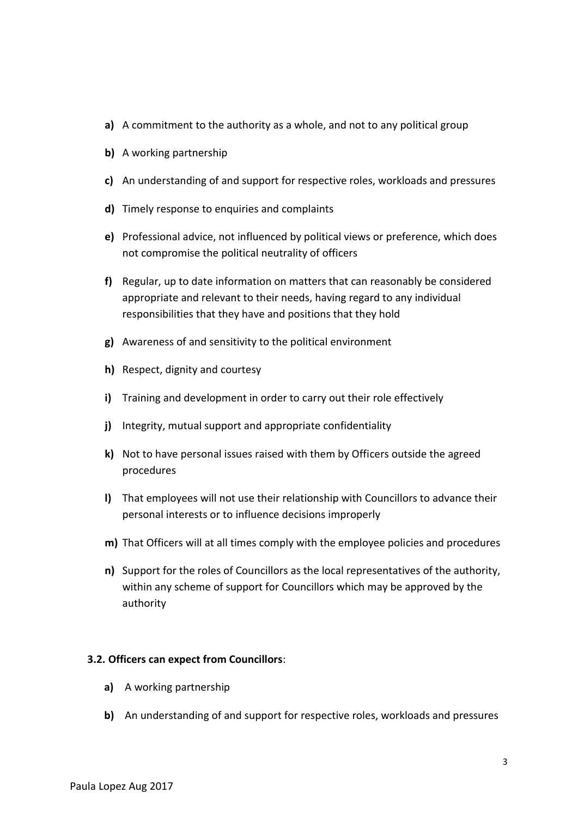- **a)** A commitment to the authority as a whole, and not to any political group
- **b)** A working partnership
- **c)** An understanding of and support for respective roles, workloads and pressures
- **d)** Timely response to enquiries and complaints
- **e)** Professional advice, not influenced by political views or preference, which does not compromise the political neutrality of officers
- **f)** Regular, up to date information on matters that can reasonably be considered appropriate and relevant to their needs, having regard to any individual responsibilities that they have and positions that they hold
- **g)** Awareness of and sensitivity to the political environment
- **h)** Respect, dignity and courtesy
- **i)** Training and development in order to carry out their role effectively
- **j)** Integrity, mutual support and appropriate confidentiality
- **k)** Not to have personal issues raised with them by Officers outside the agreed procedures
- **l)** That employees will not use their relationship with Councillors to advance their personal interests or to influence decisions improperly
- **m)** That Officers will at all times comply with the employee policies and procedures
- **n)** Support for the roles of Councillors as the local representatives of the authority, within any scheme of support for Councillors which may be approved by the authority

#### **3.2. Officers can expect from Councillors**:

- **a)** A working partnership
- **b)** An understanding of and support for respective roles, workloads and pressures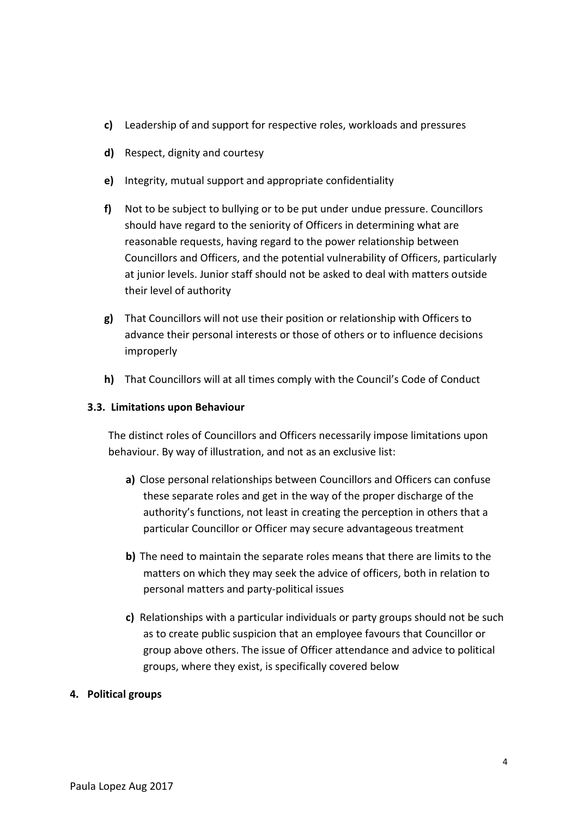- **c)** Leadership of and support for respective roles, workloads and pressures
- **d)** Respect, dignity and courtesy
- **e)** Integrity, mutual support and appropriate confidentiality
- **f)** Not to be subject to bullying or to be put under undue pressure. Councillors should have regard to the seniority of Officers in determining what are reasonable requests, having regard to the power relationship between Councillors and Officers, and the potential vulnerability of Officers, particularly at junior levels. Junior staff should not be asked to deal with matters outside their level of authority
- **g)** That Councillors will not use their position or relationship with Officers to advance their personal interests or those of others or to influence decisions improperly
- **h)** That Councillors will at all times comply with the Council's Code of Conduct

#### **3.3. Limitations upon Behaviour**

The distinct roles of Councillors and Officers necessarily impose limitations upon behaviour. By way of illustration, and not as an exclusive list:

- **a)** Close personal relationships between Councillors and Officers can confuse these separate roles and get in the way of the proper discharge of the authority's functions, not least in creating the perception in others that a particular Councillor or Officer may secure advantageous treatment
- **b)** The need to maintain the separate roles means that there are limits to the matters on which they may seek the advice of officers, both in relation to personal matters and party-political issues
- **c)** Relationships with a particular individuals or party groups should not be such as to create public suspicion that an employee favours that Councillor or group above others. The issue of Officer attendance and advice to political groups, where they exist, is specifically covered below

#### **4. Political groups**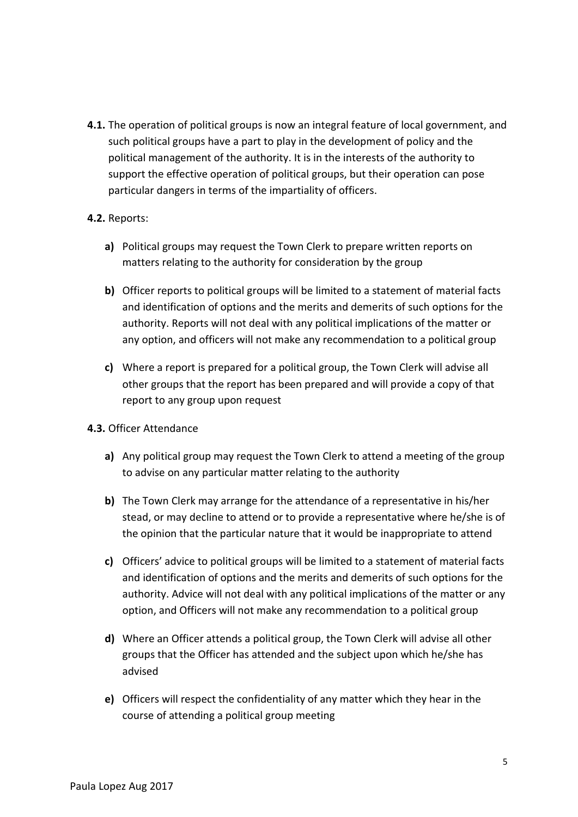**4.1.** The operation of political groups is now an integral feature of local government, and such political groups have a part to play in the development of policy and the political management of the authority. It is in the interests of the authority to support the effective operation of political groups, but their operation can pose particular dangers in terms of the impartiality of officers.

### **4.2.** Reports:

- **a)** Political groups may request the Town Clerk to prepare written reports on matters relating to the authority for consideration by the group
- **b)** Officer reports to political groups will be limited to a statement of material facts and identification of options and the merits and demerits of such options for the authority. Reports will not deal with any political implications of the matter or any option, and officers will not make any recommendation to a political group
- **c)** Where a report is prepared for a political group, the Town Clerk will advise all other groups that the report has been prepared and will provide a copy of that report to any group upon request

#### **4.3.** Officer Attendance

- **a)** Any political group may request the Town Clerk to attend a meeting of the group to advise on any particular matter relating to the authority
- **b)** The Town Clerk may arrange for the attendance of a representative in his/her stead, or may decline to attend or to provide a representative where he/she is of the opinion that the particular nature that it would be inappropriate to attend
- **c)** Officers' advice to political groups will be limited to a statement of material facts and identification of options and the merits and demerits of such options for the authority. Advice will not deal with any political implications of the matter or any option, and Officers will not make any recommendation to a political group
- **d)** Where an Officer attends a political group, the Town Clerk will advise all other groups that the Officer has attended and the subject upon which he/she has advised
- **e)** Officers will respect the confidentiality of any matter which they hear in the course of attending a political group meeting